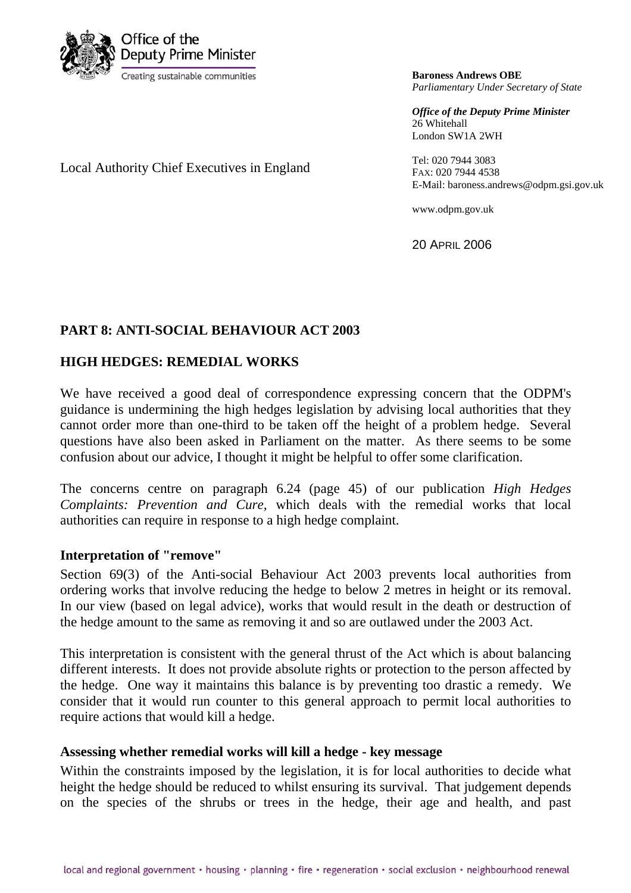

**Baroness Andrews OBE** *Parliamentary Under Secretary of State*

*Office of the Deputy Prime Minister* 26 Whitehall London SW1A 2WH

Tel: 020 7944 3083 FAX: 020 7944 4538 E-Mail: baroness.andrews@odpm.gsi.gov.uk

www.odpm.gov.uk

20 APRIL 2006

# **PART 8: ANTI-SOCIAL BEHAVIOUR ACT 2003**

## **HIGH HEDGES: REMEDIAL WORKS**

Local Authority Chief Executives in England

We have received a good deal of correspondence expressing concern that the ODPM's guidance is undermining the high hedges legislation by advising local authorities that they cannot order more than one-third to be taken off the height of a problem hedge. Several questions have also been asked in Parliament on the matter. As there seems to be some confusion about our advice, I thought it might be helpful to offer some clarification.

The concerns centre on paragraph 6.24 (page 45) of our publication *High Hedges Complaints: Prevention and Cure*, which deals with the remedial works that local authorities can require in response to a high hedge complaint.

## **Interpretation of "remove"**

Section 69(3) of the Anti-social Behaviour Act 2003 prevents local authorities from ordering works that involve reducing the hedge to below 2 metres in height or its removal. In our view (based on legal advice), works that would result in the death or destruction of the hedge amount to the same as removing it and so are outlawed under the 2003 Act.

This interpretation is consistent with the general thrust of the Act which is about balancing different interests. It does not provide absolute rights or protection to the person affected by the hedge. One way it maintains this balance is by preventing too drastic a remedy. We consider that it would run counter to this general approach to permit local authorities to require actions that would kill a hedge.

## **Assessing whether remedial works will kill a hedge - key message**

Within the constraints imposed by the legislation, it is for local authorities to decide what height the hedge should be reduced to whilst ensuring its survival. That judgement depends on the species of the shrubs or trees in the hedge, their age and health, and past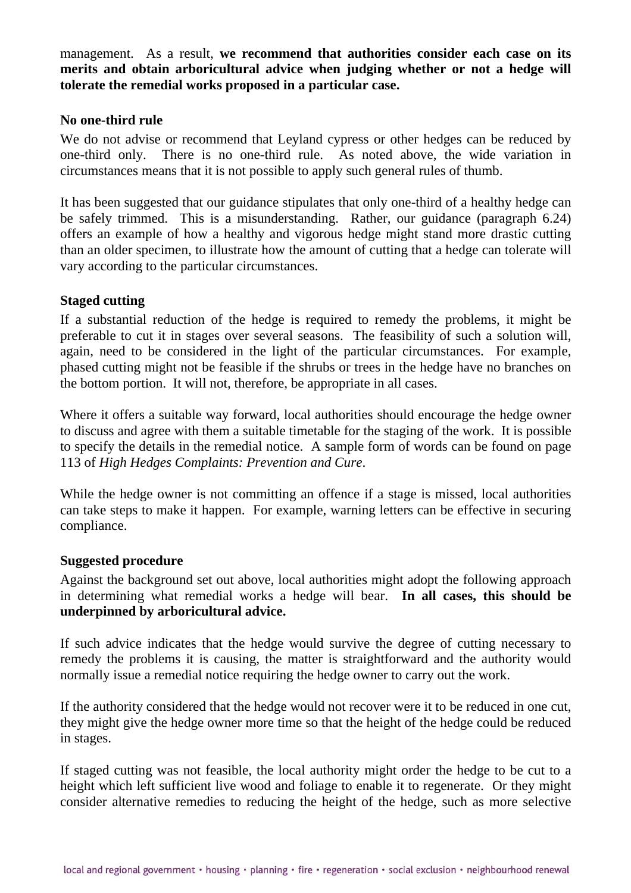management. As a result, **we recommend that authorities consider each case on its merits and obtain arboricultural advice when judging whether or not a hedge will tolerate the remedial works proposed in a particular case.**

## **No one-third rule**

We do not advise or recommend that Levland cypress or other hedges can be reduced by one-third only. There is no one-third rule. As noted above, the wide variation in circumstances means that it is not possible to apply such general rules of thumb.

It has been suggested that our guidance stipulates that only one-third of a healthy hedge can be safely trimmed. This is a misunderstanding. Rather, our guidance (paragraph 6.24) offers an example of how a healthy and vigorous hedge might stand more drastic cutting than an older specimen, to illustrate how the amount of cutting that a hedge can tolerate will vary according to the particular circumstances.

#### **Staged cutting**

If a substantial reduction of the hedge is required to remedy the problems, it might be preferable to cut it in stages over several seasons. The feasibility of such a solution will, again, need to be considered in the light of the particular circumstances. For example, phased cutting might not be feasible if the shrubs or trees in the hedge have no branches on the bottom portion. It will not, therefore, be appropriate in all cases.

Where it offers a suitable way forward, local authorities should encourage the hedge owner to discuss and agree with them a suitable timetable for the staging of the work. It is possible to specify the details in the remedial notice. A sample form of words can be found on page 113 of *High Hedges Complaints: Prevention and Cure*.

While the hedge owner is not committing an offence if a stage is missed, local authorities can take steps to make it happen. For example, warning letters can be effective in securing compliance.

#### **Suggested procedure**

Against the background set out above, local authorities might adopt the following approach in determining what remedial works a hedge will bear. **In all cases, this should be underpinned by arboricultural advice.**

If such advice indicates that the hedge would survive the degree of cutting necessary to remedy the problems it is causing, the matter is straightforward and the authority would normally issue a remedial notice requiring the hedge owner to carry out the work.

If the authority considered that the hedge would not recover were it to be reduced in one cut, they might give the hedge owner more time so that the height of the hedge could be reduced in stages.

If staged cutting was not feasible, the local authority might order the hedge to be cut to a height which left sufficient live wood and foliage to enable it to regenerate. Or they might consider alternative remedies to reducing the height of the hedge, such as more selective